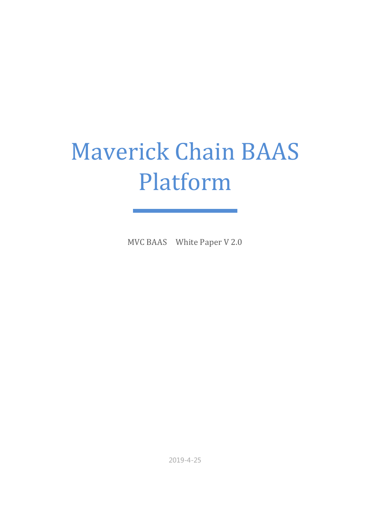# **Maverick Chain BAAS** Platform

MVC BAAS White Paper V 2.0

2019-4-25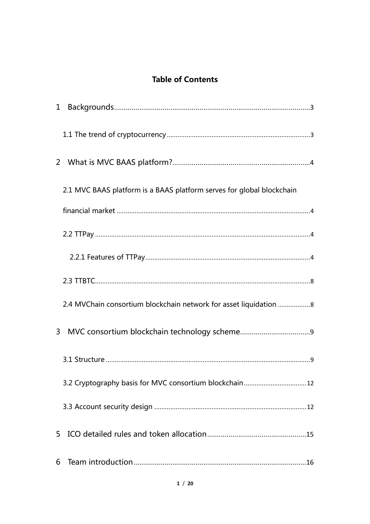#### **Table of Contents**

|              | 2.1 MVC BAAS platform is a BAAS platform serves for global blockchain |
|--------------|-----------------------------------------------------------------------|
|              |                                                                       |
|              |                                                                       |
|              |                                                                       |
|              |                                                                       |
|              |                                                                       |
| $\mathbf{3}$ |                                                                       |
|              |                                                                       |
|              |                                                                       |
|              |                                                                       |
| 5            |                                                                       |
| 6            |                                                                       |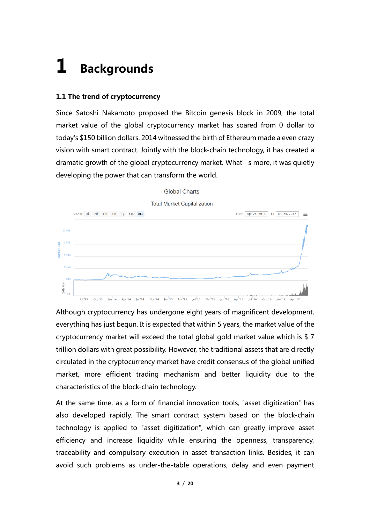### **1 Backgrounds**

#### **1.1 The trend of cryptocurrency**

Since Satoshi Nakamoto proposed the Bitcoin genesis block in 2009, the total market value of the global cryptocurrency market has soared from 0 dollar to today's \$150 billion dollars. 2014 witnessed the birth of Ethereum made a even crazy vision with smart contract. Jointly with the block-chain technology, it has created a dramatic growth of the global cryptocurrency market. What's more, it was quietly developing the power that can transform the world.



**Global Charts** 

Although cryptocurrency has undergone eight years of magnificent development, everything has just begun. It is expected that within 5 years, the market value of the cryptocurrency market will exceed the total global gold market value which is \$ 7 trillion dollars with great possibility. However, the traditional assets that are directly circulated in the cryptocurrency market have credit consensus of the global unified market, more efficient trading mechanism and better liquidity due to the characteristics of the block-chain technology.

At the same time, as a form of financial innovation tools, "asset digitization" has also developed rapidly. The smart contract system based on the block-chain technology is applied to "asset digitization", which can greatly improve asset efficiency and increase liquidity while ensuring the openness, transparency, traceability and compulsory execution in asset transaction links. Besides, it can avoid such problems as under-the-table operations, delay and even payment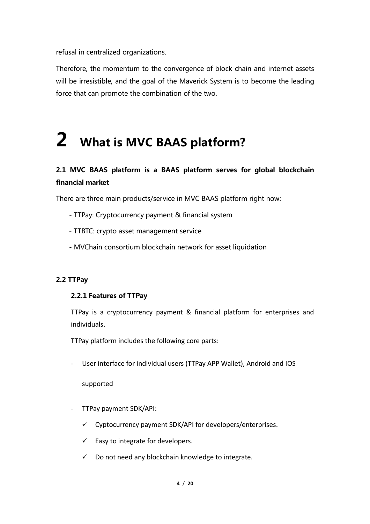refusal in centralized organizations.

Therefore, the momentum to the convergence of block chain and internet assets will be irresistible, and the goal of the Maverick System is to become the leading force that can promote the combination of the two.

# **2 What is MVC BAAS platform?**

#### **2.1 MVC BAAS platform is a BAAS platform serves for global blockchain financial market**

There are three main products/service in MVC BAAS platform right now:

- TTPay: Cryptocurrency payment & financial system
- TTBTC: crypto asset management service
- MVChain consortium blockchain network for asset liquidation

#### **2.2 TTPay**

#### **2.2.1 Features of TTPay**

TTPay is a cryptocurrency payment & financial platform for enterprises and individuals.

TTPay platform includes the following core parts:

- User interface for individual users (TTPay APP Wallet), Android and IOS

supported

- TTPay payment SDK/API:
	- $\checkmark$  Cyptocurrency payment SDK/API for developers/enterprises.
	- $\checkmark$  Easy to integrate for developers.
	- $\checkmark$  Do not need any blockchain knowledge to integrate.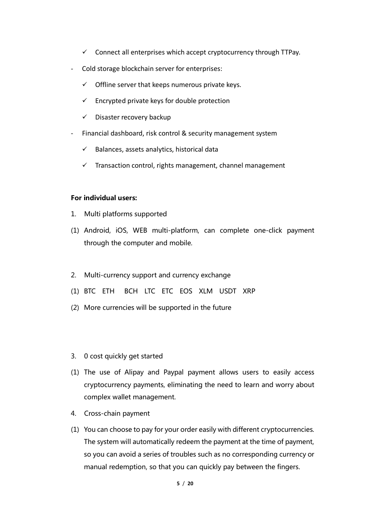- $\checkmark$  Connect all enterprises which accept cryptocurrency through TTPay.
- Cold storage blockchain server for enterprises:
	- $\checkmark$  Offline server that keeps numerous private keys.
	- $\checkmark$  Encrypted private keys for double protection
	- $\checkmark$  Disaster recovery backup
- Financial dashboard, risk control & security management system
	- $\checkmark$  Balances, assets analytics, historical data
	- $\checkmark$  Transaction control, rights management, channel management

#### **For individual users:**

- 1. Multi platforms supported
- (1) Android, iOS, WEB multi-platform, can complete one-click payment through the computer and mobile.
- 2. Multi-currency support and currency exchange
- (1) BTC ETH BCH LTC ETC EOS XLM USDT XRP
- (2) More currencies will be supported in the future
- 3. 0 cost quickly get started
- (1) The use of Alipay and Paypal payment allows users to easily access cryptocurrency payments, eliminating the need to learn and worry about complex wallet management.
- 4. Cross-chain payment
- (1) You can choose to pay for your order easily with different cryptocurrencies. The system will automatically redeem the payment at the time of payment, so you can avoid a series of troubles such as no corresponding currency or manual redemption, so that you can quickly pay between the fingers.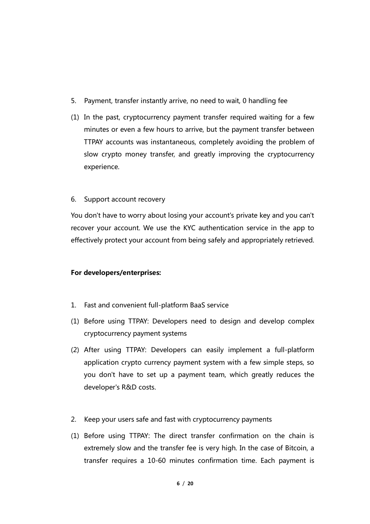- 5. Payment, transfer instantly arrive, no need to wait, 0 handling fee
- (1) In the past, cryptocurrency payment transfer required waiting for a few minutes or even a few hours to arrive, but the payment transfer between TTPAY accounts was instantaneous, completely avoiding the problem of slow crypto money transfer, and greatly improving the cryptocurrency experience.

#### 6. Support account recovery

You don't have to worry about losing your account's private key and you can't recover your account. We use the KYC authentication service in the app to effectively protect your account from being safely and appropriately retrieved.

#### **For developers/enterprises:**

- 1. Fast and convenient full-platform BaaS service
- (1) Before using TTPAY: Developers need to design and develop complex cryptocurrency payment systems
- (2) After using TTPAY: Developers can easily implement a full-platform application crypto currency payment system with a few simple steps, so you don't have to set up a payment team, which greatly reduces the developer's R&D costs.
- 2. Keep your users safe and fast with cryptocurrency payments
- (1) Before using TTPAY: The direct transfer confirmation on the chain is extremely slow and the transfer fee is very high. In the case of Bitcoin, a transfer requires a 10-60 minutes confirmation time. Each payment is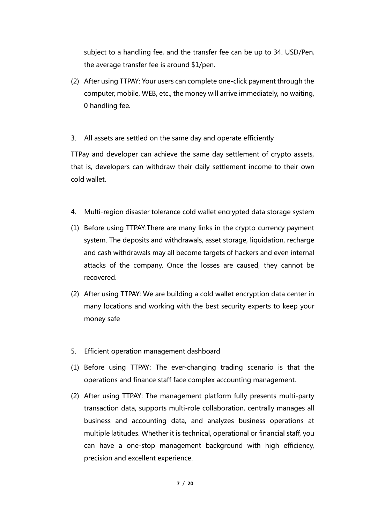subject to a handling fee, and the transfer fee can be up to 34. USD/Pen, the average transfer fee is around \$1/pen.

- (2) After using TTPAY: Your users can complete one-click payment through the computer, mobile, WEB, etc., the money will arrive immediately, no waiting, 0 handling fee.
- 3. All assets are settled on the same day and operate efficiently

TTPay and developer can achieve the same day settlement of crypto assets, that is, developers can withdraw their daily settlement income to their own cold wallet.

- 4. Multi-region disaster tolerance cold wallet encrypted data storage system
- (1) Before using TTPAY:There are many links in the crypto currency payment system. The deposits and withdrawals, asset storage, liquidation, recharge and cash withdrawals may all become targets of hackers and even internal attacks of the company. Once the losses are caused, they cannot be recovered.
- (2) After using TTPAY: We are building a cold wallet encryption data center in many locations and working with the best security experts to keep your money safe
- 5. Efficient operation management dashboard
- (1) Before using TTPAY: The ever-changing trading scenario is that the operations and finance staff face complex accounting management.
- (2) After using TTPAY: The management platform fully presents multi-party transaction data, supports multi-role collaboration, centrally manages all business and accounting data, and analyzes business operations at multiple latitudes. Whether it is technical, operational or financial staff, you can have a one-stop management background with high efficiency, precision and excellent experience.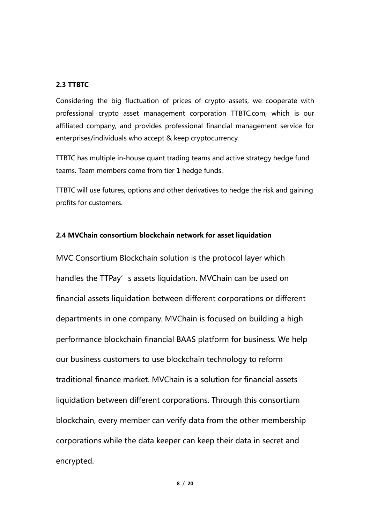#### **2.3 TTBTC**

Considering the big fluctuation of prices of crypto assets, we cooperate with professional crypto asset management corporation TTBTC.com, which is our affiliated company, and provides professional financial management service for enterprises/individuals who accept & keep cryptocurrency.

TTBTC has multiple in-house quant trading teams and active strategy hedge fund teams. Team members come from tier 1 hedge funds.

TTBTC will use futures, options and other derivatives to hedge the risk and gaining profits for customers.

#### **2.4 MVChain consortium blockchain network for asset liquidation**

MVC Consortium Blockchain solution is the protocol layer which handles the TTPay's assets liquidation. MVChain can be used on financial assets liquidation between different corporations or different departments in one company. MVChain is focused on building a high performance blockchain financial BAAS platform for business. We help our business customers to use blockchain technology to reform traditional finance market. MVChain is a solution for financial assets liquidation between different corporations. Through this consortium blockchain, every member can verify data from the other membership corporations while the data keeper can keep their data in secret and encrypted.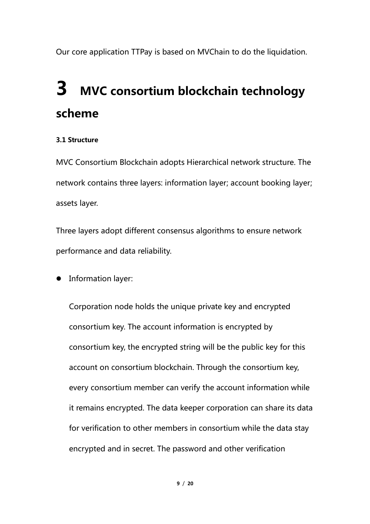Our core application TTPay is based on MVChain to do the liquidation.

### **3 MVC consortium blockchain technology scheme**

#### **3.1 Structure**

MVC Consortium Blockchain adopts Hierarchical network structure. The network contains three layers: information layer; account booking layer; assets layer.

Three layers adopt different consensus algorithms to ensure network performance and data reliability.

**•** Information layer:

Corporation node holds the unique private key and encrypted consortium key. The account information is encrypted by consortium key, the encrypted string will be the public key for this account on consortium blockchain. Through the consortium key, every consortium member can verify the account information while it remains encrypted. The data keeper corporation can share its data for verification to other members in consortium while the data stay encrypted and in secret. The password and other verification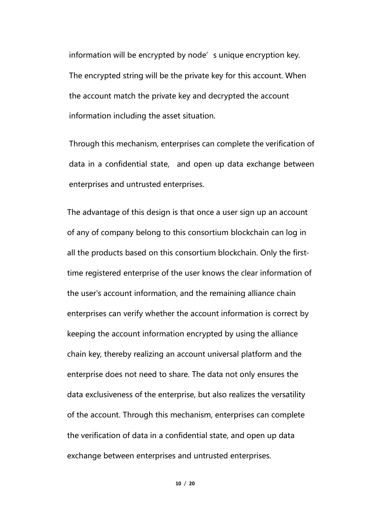information will be encrypted by node's unique encryption key. The encrypted string will be the private key for this account. When the account match the private key and decrypted the account information including the asset situation.

Through this mechanism, enterprises can complete the verification of data in a confidential state, and open up data exchange between enterprises and untrusted enterprises.

The advantage of this design is that once a user sign up an account of any of company belong to this consortium blockchain can log in all the products based on this consortium blockchain. Only the firsttime registered enterprise of the user knows the clear information of the user's account information, and the remaining alliance chain enterprises can verify whether the account information is correct by keeping the account information encrypted by using the alliance chain key, thereby realizing an account universal platform and the enterprise does not need to share. The data not only ensures the data exclusiveness of the enterprise, but also realizes the versatility of the account. Through this mechanism, enterprises can complete the verification of data in a confidential state, and open up data exchange between enterprises and untrusted enterprises.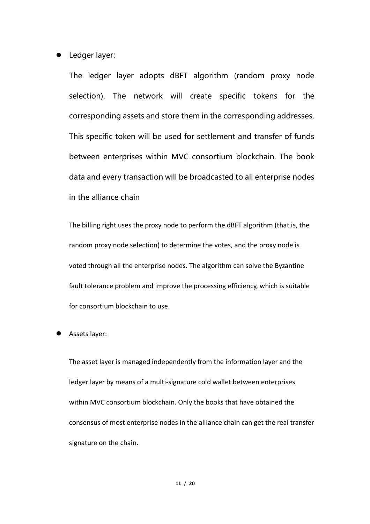• Ledger layer:

The ledger layer adopts dBFT algorithm (random proxy node selection). The network will create specific tokens for the corresponding assets and store them in the corresponding addresses. This specific token will be used for settlement and transfer of funds between enterprises within MVC consortium blockchain. The book data and every transaction will be broadcasted to all enterprise nodes in the alliance chain

The billing right uses the proxy node to perform the dBFT algorithm (that is, the random proxy node selection) to determine the votes, and the proxy node is voted through all the enterprise nodes. The algorithm can solve the Byzantine fault tolerance problem and improve the processing efficiency, which is suitable for consortium blockchain to use.

#### Assets layer:

The asset layer is managed independently from the information layer and the ledger layer by means of a multi-signature cold wallet between enterprises within MVC consortium blockchain. Only the books that have obtained the consensus of most enterprise nodes in the alliance chain can get the real transfer signature on the chain.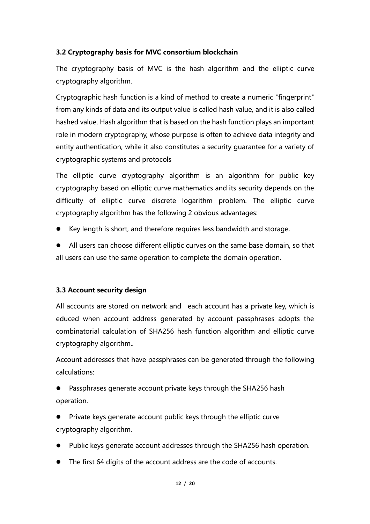#### **3.2 Cryptography basis for MVC consortium blockchain**

The cryptography basis of MVC is the hash algorithm and the elliptic curve cryptography algorithm.

Cryptographic hash function is a kind of method to create a numeric "fingerprint" from any kinds of data and its output value is called hash value, and it is also called hashed value. Hash algorithm that is based on the hash function plays an important role in modern cryptography, whose purpose is often to achieve data integrity and entity authentication, while it also constitutes a security guarantee for a variety of cryptographic systems and protocols

The elliptic curve cryptography algorithm is an algorithm for public key cryptography based on elliptic curve mathematics and its security depends on the difficulty of elliptic curve discrete logarithm problem. The elliptic curve cryptography algorithm has the following 2 obvious advantages:

- l Key length is short, and therefore requires less bandwidth and storage.
- All users can choose different elliptic curves on the same base domain, so that all users can use the same operation to complete the domain operation.

#### **3.3 Account security design**

All accounts are stored on network and each account has a private key, which is educed when account address generated by account passphrases adopts the combinatorial calculation of SHA256 hash function algorithm and elliptic curve cryptography algorithm..

Account addresses that have passphrases can be generated through the following calculations:

Passphrases generate account private keys through the SHA256 hash operation.

Private keys generate account public keys through the elliptic curve cryptography algorithm.

- Public keys generate account addresses through the SHA256 hash operation.
- The first 64 digits of the account address are the code of accounts.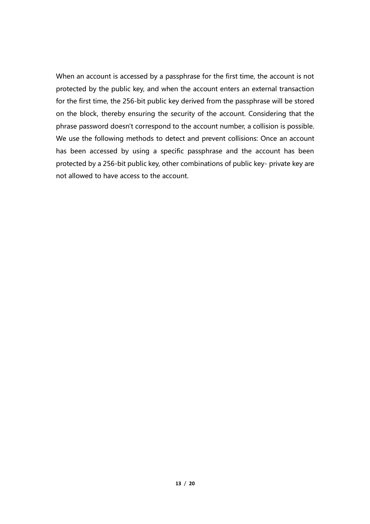When an account is accessed by a passphrase for the first time, the account is not protected by the public key, and when the account enters an external transaction for the first time, the 256-bit public key derived from the passphrase will be stored on the block, thereby ensuring the security of the account. Considering that the phrase password doesn't correspond to the account number, a collision is possible. We use the following methods to detect and prevent collisions: Once an account has been accessed by using a specific passphrase and the account has been protected by a 256-bit public key, other combinations of public key- private key are not allowed to have access to the account.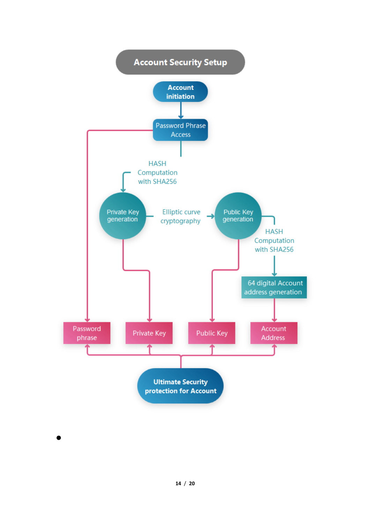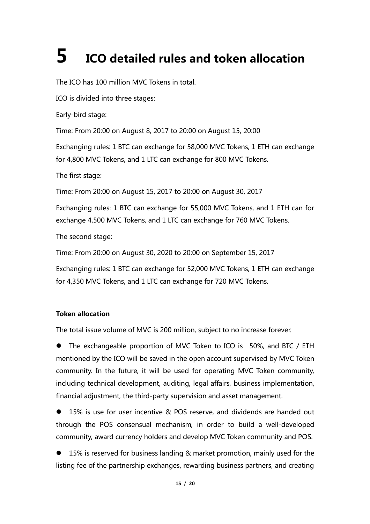## **5 ICO detailed rules and token allocation**

The ICO has 100 million MVC Tokens in total.

ICO is divided into three stages:

Early-bird stage:

Time: From 20:00 on August 8, 2017 to 20:00 on August 15, 20:00

Exchanging rules: 1 BTC can exchange for 58,000 MVC Tokens, 1 ETH can exchange for 4,800 MVC Tokens, and 1 LTC can exchange for 800 MVC Tokens.

The first stage:

Time: From 20:00 on August 15, 2017 to 20:00 on August 30, 2017

Exchanging rules: 1 BTC can exchange for 55,000 MVC Tokens, and 1 ETH can for exchange 4,500 MVC Tokens, and 1 LTC can exchange for 760 MVC Tokens.

The second stage:

Time: From 20:00 on August 30, 2020 to 20:00 on September 15, 2017

Exchanging rules: 1 BTC can exchange for 52,000 MVC Tokens, 1 ETH can exchange for 4,350 MVC Tokens, and 1 LTC can exchange for 720 MVC Tokens.

#### **Token allocation**

The total issue volume of MVC is 200 million, subject to no increase forever.

The exchangeable proportion of MVC Token to ICO is 50%, and BTC / ETH mentioned by the ICO will be saved in the open account supervised by MVC Token community. In the future, it will be used for operating MVC Token community, including technical development, auditing, legal affairs, business implementation, financial adjustment, the third-party supervision and asset management.

l 15% is use for user incentive & POS reserve, and dividends are handed out through the POS consensual mechanism, in order to build a well-developed community, award currency holders and develop MVC Token community and POS.

l 15% is reserved for business landing & market promotion, mainly used for the listing fee of the partnership exchanges, rewarding business partners, and creating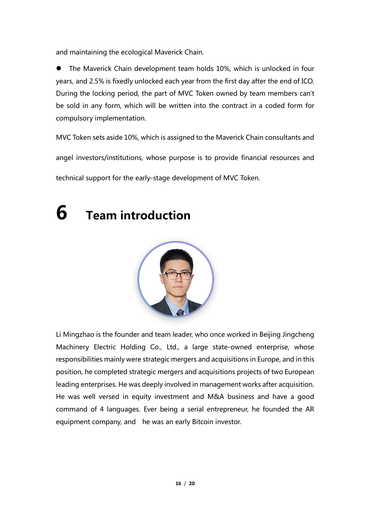and maintaining the ecological Maverick Chain.

The Maverick Chain development team holds 10%, which is unlocked in four years, and 2.5% is fixedly unlocked each year from the first day after the end of ICO. During the locking period, the part of MVC Token owned by team members can't be sold in any form, which will be written into the contract in a coded form for compulsory implementation.

MVC Token sets aside 10%, which is assigned to the Maverick Chain consultants and

angel investors/institutions, whose purpose is to provide financial resources and

technical support for the early-stage development of MVC Token.

### **6 Team introduction**



Li Mingzhao is the founder and team leader, who once worked in Beijing Jingcheng Machinery Electric Holding Co., Ltd., a large state-owned enterprise, whose responsibilities mainly were strategic mergers and acquisitions in Europe, and in this position, he completed strategic mergers and acquisitions projects of two European leading enterprises. He was deeply involved in management works after acquisition. He was well versed in equity investment and M&A business and have a good command of 4 languages. Ever being a serial entrepreneur, he founded the AR equipment company, and he was an early Bitcoin investor.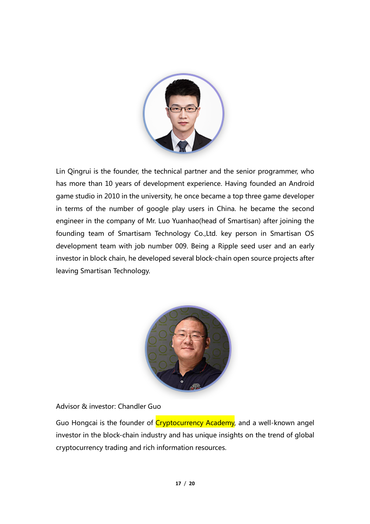

Lin Qingrui is the founder, the technical partner and the senior programmer, who has more than 10 years of development experience. Having founded an Android game studio in 2010 in the university, he once became a top three game developer in terms of the number of google play users in China. he became the second engineer in the company of Mr. Luo Yuanhao(head of Smartisan) after joining the founding team of Smartisam Technology Co.,Ltd. key person in Smartisan OS development team with job number 009. Being a Ripple seed user and an early investor in block chain, he developed several block-chain open source projects after leaving Smartisan Technology.



Advisor & investor: Chandler Guo

Guo Hongcai is the founder of Cryptocurrency Academy, and a well-known angel investor in the block-chain industry and has unique insights on the trend of global cryptocurrency trading and rich information resources.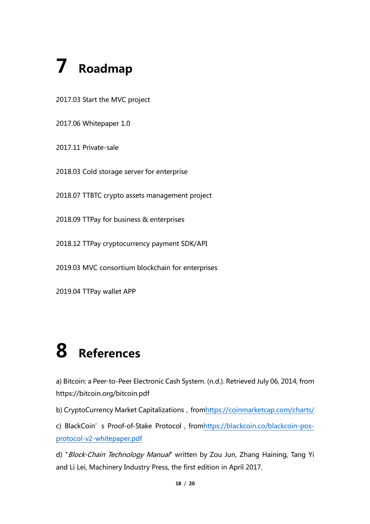# **7 Roadmap**

2017.03 Start the MVC project

2017.06 Whitepaper 1.0

2017.11 Private-sale

2018.03 Cold storage server for enterprise

2018.07 TTBTC crypto assets management project

2018.09 TTPay for business & enterprises

2018.12 TTPay cryptocurrency payment SDK/API

2019.03 MVC consortium blockchain for enterprises

2019.04 TTPay wallet APP

# **8 References**

a) Bitcoin: a Peer-to-Peer Electronic Cash System. (n.d.). Retrieved July 06, 2014, from https://bitcoin.org/bitcoin.pdf

b) CryptoCurrency Market Capitalizations, fromhttps://coinmarketcap.com/charts/

c) BlackCoin's Proof-of-Stake Protocol, fromhttps://blackcoin.co/blackcoin-posprotocol-v2-whitepaper.pdf

d) "Block-Chain Technology Manual" written by Zou Jun, Zhang Haining, Tang Yi and Li Lei, Machinery Industry Press, the first edition in April 2017.